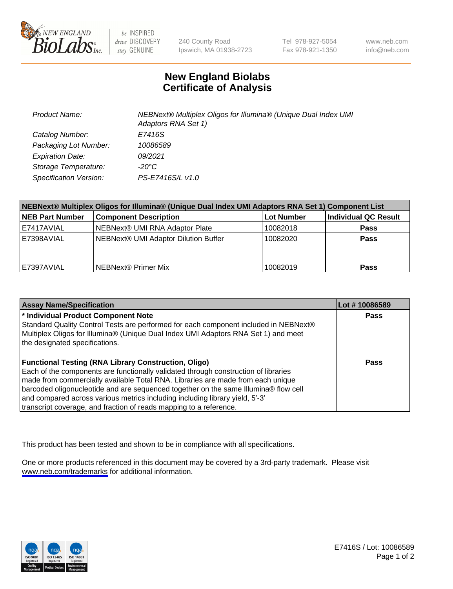

be INSPIRED drive DISCOVERY stay GENUINE

240 County Road Ipswich, MA 01938-2723 Tel 978-927-5054 Fax 978-921-1350

www.neb.com info@neb.com

## **New England Biolabs Certificate of Analysis**

| Product Name:           | NEBNext® Multiplex Oligos for Illumina® (Unique Dual Index UMI<br>Adaptors RNA Set 1) |
|-------------------------|---------------------------------------------------------------------------------------|
| Catalog Number:         | E7416S                                                                                |
| Packaging Lot Number:   | 10086589                                                                              |
| <b>Expiration Date:</b> | 09/2021                                                                               |
| Storage Temperature:    | $-20^{\circ}$ C                                                                       |
| Specification Version:  | PS-E7416S/L v1.0                                                                      |

| NEBNext® Multiplex Oligos for Illumina® (Unique Dual Index UMI Adaptors RNA Set 1) Component List |                                      |                   |                      |  |
|---------------------------------------------------------------------------------------------------|--------------------------------------|-------------------|----------------------|--|
| <b>NEB Part Number</b>                                                                            | <b>Component Description</b>         | <b>Lot Number</b> | Individual QC Result |  |
| E7417AVIAL                                                                                        | NEBNext® UMI RNA Adaptor Plate       | 10082018          | <b>Pass</b>          |  |
| E7398AVIAL                                                                                        | NEBNext® UMI Adaptor Dilution Buffer | 10082020          | <b>Pass</b>          |  |
| E7397AVIAL                                                                                        | l NEBNext® Primer Mix                | 10082019          | <b>Pass</b>          |  |

| <b>Assay Name/Specification</b>                                                      | Lot #10086589 |
|--------------------------------------------------------------------------------------|---------------|
| <sup>*</sup> Individual Product Component Note                                       | <b>Pass</b>   |
| Standard Quality Control Tests are performed for each component included in NEBNext® |               |
| Multiplex Oligos for Illumina® (Unique Dual Index UMI Adaptors RNA Set 1) and meet   |               |
| the designated specifications.                                                       |               |
|                                                                                      |               |
| <b>Functional Testing (RNA Library Construction, Oligo)</b>                          | Pass          |
| Each of the components are functionally validated through construction of libraries  |               |
| made from commercially available Total RNA. Libraries are made from each unique      |               |
| barcoded oligonucleotide and are sequenced together on the same Illumina® flow cell  |               |
| and compared across various metrics including including library yield, 5'-3'         |               |
| transcript coverage, and fraction of reads mapping to a reference.                   |               |

This product has been tested and shown to be in compliance with all specifications.

One or more products referenced in this document may be covered by a 3rd-party trademark. Please visit <www.neb.com/trademarks>for additional information.